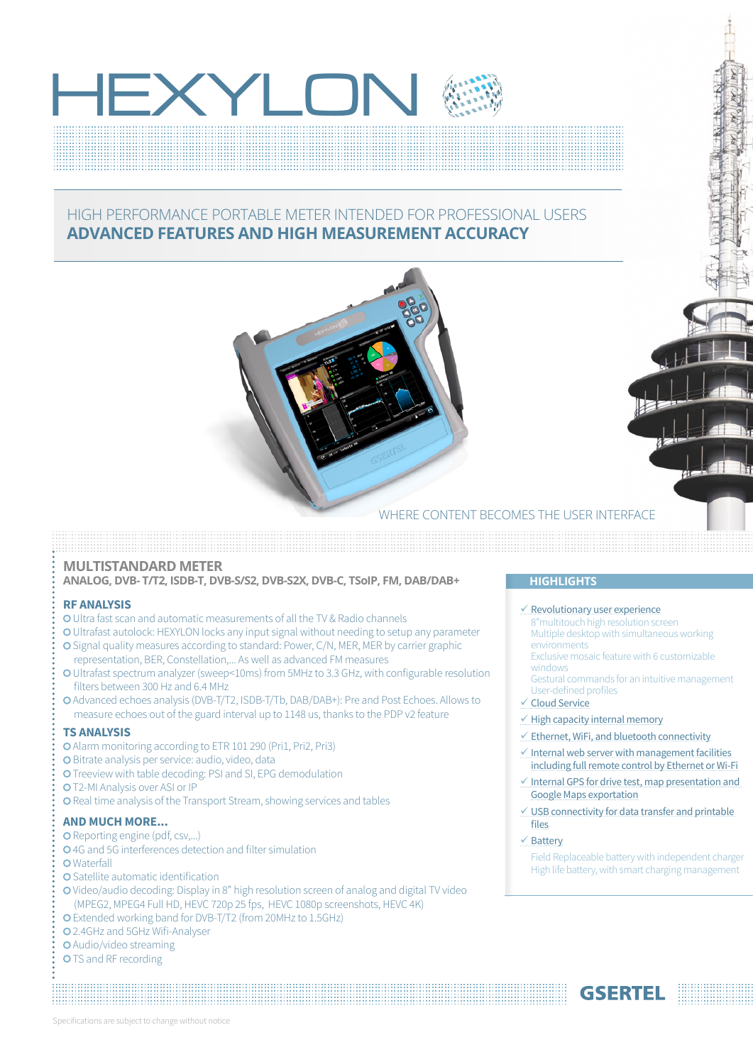# EXYLO

### HIGH PERFORMANCE PORTABLE METER INTENDED FOR PROFESSIONAL USERS **ADVANCED FEATURES AND HIGH MEASUREMENT ACCURACY**



WHERE CONTENT BECOMES THE USER INTERFACE

#### **MULTISTANDARD METER**

**ANALOG, DVB- T/T2, ISDB-T, DVB-S/S2, DVB-S2X, DVB-C, TSoIP, FM, DAB/DAB+ HIGHLIGHTS**

#### **RF ANALYSIS**

- Ultra fast scan and automatic measurements of all the TV & Radio channels
- Ultrafast autolock: HEXYLON locks any input signal without needing to setup any parameter
- O Signal quality measures according to standard: Power, C/N, MER, MER by carrier graphic representation, BER, Constellation,... As well as advanced FM measures
- Ultrafast spectrum analyzer (sweep<10ms) from 5MHz to 3.3 GHz, with configurable resolution filters between 300 Hz and 6.4 MHz
- Advanced echoes analysis (DVB-T/T2, ISDB-T/Tb, DAB/DAB+): Pre and Post Echoes. Allows to measure echoes out of the guard interval up to 1148 us, thanks to the PDP v2 feature

#### **TS ANALYSIS**

- Alarm monitoring according to ETR 101 290 (Pri1, Pri2, Pri3)
- **O** Bitrate analysis per service: audio, video, data
- O Treeview with table decoding: PSI and SI, EPG demodulation
- T2-MI Analysis over ASI or IP
- **O** Real time analysis of the Transport Stream, showing services and tables

#### **AND MUCH MORE...**

- O Reporting engine (pdf, csv,...)
- 4G and 5G interferences detection and filter simulation
- **O** Waterfall
- O Satellite automatic identification
- Video/audio decoding: Display in 8" high resolution screen of analog and digital TV video (MPEG2, MPEG4 Full HD, HEVC 720p 25 fps, HEVC 1080p screenshots, HEVC 4K)
- Extended working band for DVB-T/T2 (from 20MHz to 1.5GHz)
- 2.4GHz and 5GHz Wifi-Analyser

#### Audio/video streaming

O TS and RF recording

#### $\checkmark$  Revolutionary user experience

- 8"multitouch high resolution screen Multiple desktop with simultaneous working environments
- Exclusive mosaic feature with 6 customizable windows
- Gestural commands for an intuitive management User-defined profiles
- Cloud Service

#### $\checkmark$  High capacity internal memory

- $\checkmark$  Ethernet, WiFi, and bluetooth connectivity
- $\checkmark$  Internal web server with management facilities including full remote control by Ethernet or Wi-Fi
- $\checkmark$  Internal GPS for drive test, map presentation and Google Maps exportation
- $\checkmark$  USB connectivity for data transfer and printable files

#### $\checkmark$  Battery

Field Replaceable battery with independent charger High life battery, with smart charging management

**GSERTEI**